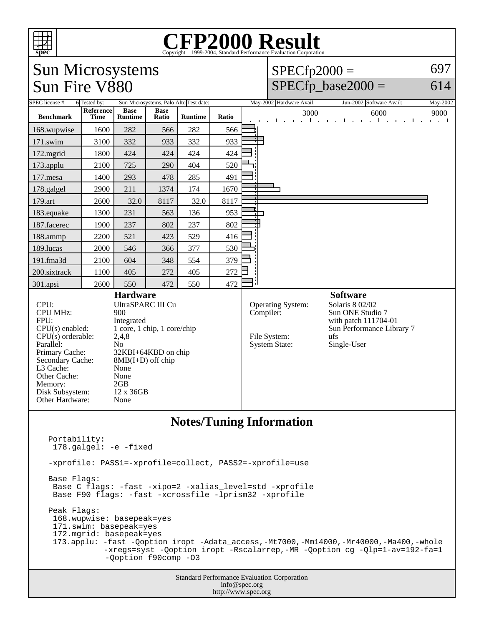

## Copyright ©1999-2004, Standard Performance Evaluation Corporation

## Sun Microsystems Sun Fire V880

## $SPECfp2000 =$  $SPECfp\_base2000 =$

614

697

| SPEC license #:                                                                                                                                                                                              | Sun Microsystems, Palo Alto Test date:<br>6 Tested by: |                                                                                                                                                                                                                      |                      |                | May-2002 Hardware Avail:<br>Jun-2002 Software Avail: |  |                                                                        |                             |                |                                                                                                                                   | May-2002 |                                       |
|--------------------------------------------------------------------------------------------------------------------------------------------------------------------------------------------------------------|--------------------------------------------------------|----------------------------------------------------------------------------------------------------------------------------------------------------------------------------------------------------------------------|----------------------|----------------|------------------------------------------------------|--|------------------------------------------------------------------------|-----------------------------|----------------|-----------------------------------------------------------------------------------------------------------------------------------|----------|---------------------------------------|
| <b>Benchmark</b>                                                                                                                                                                                             | <b>Reference</b><br><b>Time</b>                        | <b>Base</b><br>Runtime                                                                                                                                                                                               | <b>Base</b><br>Ratio | <b>Runtime</b> | Ratio                                                |  | $\mathbf{I}$                                                           | $\mathbf{a} = \mathbf{a}$ . | 3000<br>$\sim$ | 6000<br>$\mathbf{r} = \mathbf{r}$ .<br>$\mathbf{I}$<br>$\sim$                                                                     | Ι.       | 9000<br>$\mathbf{r}$ and $\mathbf{r}$ |
| 168.wupwise                                                                                                                                                                                                  | 1600                                                   | 282                                                                                                                                                                                                                  | 566                  | 282            | 566                                                  |  |                                                                        |                             |                |                                                                                                                                   |          |                                       |
| 171.swim                                                                                                                                                                                                     | 3100                                                   | 332                                                                                                                                                                                                                  | 933                  | 332            | 933                                                  |  |                                                                        |                             |                |                                                                                                                                   |          |                                       |
| 172.mgrid                                                                                                                                                                                                    | 1800                                                   | 424                                                                                                                                                                                                                  | 424                  | 424            | 424                                                  |  |                                                                        |                             |                |                                                                                                                                   |          |                                       |
| 173.applu                                                                                                                                                                                                    | 2100                                                   | 725                                                                                                                                                                                                                  | 290                  | 404            | 520                                                  |  |                                                                        |                             |                |                                                                                                                                   |          |                                       |
| 177.mesa                                                                                                                                                                                                     | 1400                                                   | 293                                                                                                                                                                                                                  | 478                  | 285            | 491                                                  |  |                                                                        |                             |                |                                                                                                                                   |          |                                       |
| 178.galgel                                                                                                                                                                                                   | 2900                                                   | 211                                                                                                                                                                                                                  | 1374                 | 174            | 1670                                                 |  |                                                                        |                             |                |                                                                                                                                   |          |                                       |
| 179.art                                                                                                                                                                                                      | 2600                                                   | 32.0                                                                                                                                                                                                                 | 8117                 | 32.0           | 8117                                                 |  |                                                                        |                             |                |                                                                                                                                   |          |                                       |
| 183.equake                                                                                                                                                                                                   | 1300                                                   | 231                                                                                                                                                                                                                  | 563                  | 136            | 953                                                  |  |                                                                        |                             |                |                                                                                                                                   |          |                                       |
| 187.facerec                                                                                                                                                                                                  | 1900                                                   | 237                                                                                                                                                                                                                  | 802                  | 237            | 802                                                  |  |                                                                        |                             |                |                                                                                                                                   |          |                                       |
| 188.ammp                                                                                                                                                                                                     | 2200                                                   | 521                                                                                                                                                                                                                  | 423                  | 529            | 416                                                  |  |                                                                        |                             |                |                                                                                                                                   |          |                                       |
| 189.lucas                                                                                                                                                                                                    | 2000                                                   | 546                                                                                                                                                                                                                  | 366                  | 377            | 530                                                  |  |                                                                        |                             |                |                                                                                                                                   |          |                                       |
| 191.fma3d                                                                                                                                                                                                    | 2100                                                   | 604                                                                                                                                                                                                                  | 348                  | 554            | 379                                                  |  |                                                                        |                             |                |                                                                                                                                   |          |                                       |
| 200.sixtrack                                                                                                                                                                                                 | 1100                                                   | 405                                                                                                                                                                                                                  | 272                  | 405            | 272                                                  |  |                                                                        |                             |                |                                                                                                                                   |          |                                       |
| 301.apsi                                                                                                                                                                                                     | 2600                                                   | 550                                                                                                                                                                                                                  | 472                  | 550            | 472                                                  |  |                                                                        |                             |                |                                                                                                                                   |          |                                       |
| CPU:<br><b>CPU MHz:</b><br>FPU:<br>$CPU(s)$ enabled:<br>$CPU(s)$ orderable:<br>Parallel:<br>Primary Cache:<br>Secondary Cache:<br>L3 Cache:<br>Other Cache:<br>Memory:<br>Disk Subsystem:<br>Other Hardware: |                                                        | <b>Hardware</b><br><b>UltraSPARC III Cu</b><br>900<br>Integrated<br>1 core, 1 chip, 1 core/chip<br>2,4,8<br>N <sub>0</sub><br>32KBI+64KBD on chip<br>$8MB(I+D)$ off chip<br>None<br>None<br>2GB<br>12 x 36GB<br>None |                      |                |                                                      |  | Operating System:<br>Compiler:<br>File System:<br><b>System State:</b> |                             |                | <b>Software</b><br>Solaris 8 02/02<br>Sun ONE Studio 7<br>with patch 111704-01<br>Sun Performance Library 7<br>ufs<br>Single-User |          |                                       |
| <b>Notes/Tuning Information</b>                                                                                                                                                                              |                                                        |                                                                                                                                                                                                                      |                      |                |                                                      |  |                                                                        |                             |                |                                                                                                                                   |          |                                       |

## Portability: 178.galgel: -e -fixed -xprofile: PASS1=-xprofile=collect, PASS2=-xprofile=use Base Flags: Base C flags: -fast -xipo=2 -xalias\_level=std -xprofile Base F90 flags: -fast -xcrossfile -lprism32 -xprofile Peak Flags: 168.wupwise: basepeak=yes 171.swim: basepeak=yes 172.mgrid: basepeak=yes 173.applu: -fast -Qoption iropt -Adata\_access,-Mt7000,-Mm14000,-Mr40000,-Ma400,-whole -xregs=syst -Qoption iropt -Rscalarrep,-MR -Qoption cg -Qlp=1-av=192-fa=1 -Qoption f90comp -O3

Standard Performance Evaluation Corporation info@spec.org http://www.spec.org